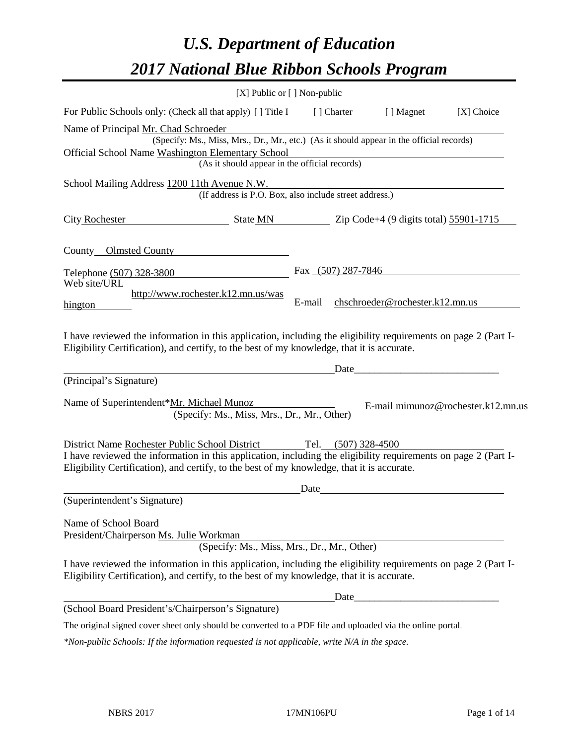# *U.S. Department of Education 2017 National Blue Ribbon Schools Program*

|                                                                                                                                                                                                              | $[X]$ Public or $[ \ ]$ Non-public                                                                                                        |        |                     |                                                                                                                      |                                    |
|--------------------------------------------------------------------------------------------------------------------------------------------------------------------------------------------------------------|-------------------------------------------------------------------------------------------------------------------------------------------|--------|---------------------|----------------------------------------------------------------------------------------------------------------------|------------------------------------|
| For Public Schools only: (Check all that apply) [ ] Title I                                                                                                                                                  |                                                                                                                                           |        | [ ] Charter         | [ ] Magnet                                                                                                           | $[X]$ Choice                       |
| Name of Principal Mr. Chad Schroeder<br>Official School Name Washington Elementary School                                                                                                                    | (Specify: Ms., Miss, Mrs., Dr., Mr., etc.) (As it should appear in the official records)<br>(As it should appear in the official records) |        |                     |                                                                                                                      |                                    |
| School Mailing Address 1200 11th Avenue N.W.                                                                                                                                                                 | (If address is P.O. Box, also include street address.)                                                                                    |        |                     |                                                                                                                      |                                    |
| <b>City Rochester</b>                                                                                                                                                                                        | $\frac{1}{2}$ State MN $\frac{1}{2}$ Zip Code+4 (9 digits total) $\frac{55901-1715}{2}$                                                   |        |                     |                                                                                                                      |                                    |
| County Olmsted County                                                                                                                                                                                        |                                                                                                                                           |        |                     |                                                                                                                      |                                    |
| Telephone (507) 328-3800<br>Web site/URL                                                                                                                                                                     |                                                                                                                                           |        | Fax (507) 287-7846  |                                                                                                                      |                                    |
| hington                                                                                                                                                                                                      | http://www.rochester.k12.mn.us/was                                                                                                        | E-mail |                     | chschroeder@rochester.k12.mn.us                                                                                      |                                    |
| I have reviewed the information in this application, including the eligibility requirements on page 2 (Part I-<br>Eligibility Certification), and certify, to the best of my knowledge, that it is accurate. |                                                                                                                                           |        |                     |                                                                                                                      |                                    |
| (Principal's Signature)                                                                                                                                                                                      |                                                                                                                                           |        | Date                |                                                                                                                      |                                    |
| Name of Superintendent*Mr. Michael Munoz                                                                                                                                                                     | (Specify: Ms., Miss, Mrs., Dr., Mr., Other)                                                                                               |        |                     |                                                                                                                      | E-mail mimunoz@rochester.k12.mn.us |
| District Name Rochester Public School District                                                                                                                                                               |                                                                                                                                           |        | Tel. (507) 328-4500 |                                                                                                                      |                                    |
| I have reviewed the information in this application, including the eligibility requirements on page 2 (Part I-<br>Eligibility Certification), and certify, to the best of my knowledge, that it is accurate. |                                                                                                                                           |        |                     |                                                                                                                      |                                    |
|                                                                                                                                                                                                              |                                                                                                                                           | Date   |                     |                                                                                                                      |                                    |
| (Superintendent's Signature)                                                                                                                                                                                 |                                                                                                                                           |        |                     |                                                                                                                      |                                    |
| Name of School Board<br>President/Chairperson Ms. Julie Workman                                                                                                                                              | (Specify: Ms., Miss, Mrs., Dr., Mr., Other)                                                                                               |        |                     |                                                                                                                      |                                    |
| I have reviewed the information in this application, including the eligibility requirements on page 2 (Part I-<br>Eligibility Certification), and certify, to the best of my knowledge, that it is accurate. |                                                                                                                                           |        |                     |                                                                                                                      |                                    |
|                                                                                                                                                                                                              |                                                                                                                                           |        | Date                | <u> 1989 - Johann John Stone, markin fan it ferstjer fan it ferstjer fan it ferstjer fan it ferstjer fan it fers</u> |                                    |
| (School Board President's/Chairperson's Signature)                                                                                                                                                           |                                                                                                                                           |        |                     |                                                                                                                      |                                    |
| The original signed cover sheet only should be converted to a PDF file and uploaded via the online portal.                                                                                                   |                                                                                                                                           |        |                     |                                                                                                                      |                                    |

*\*Non-public Schools: If the information requested is not applicable, write N/A in the space.*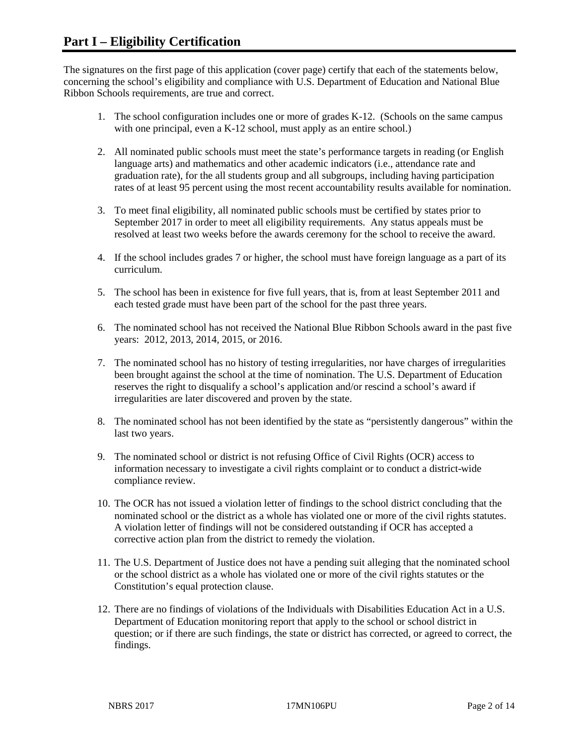The signatures on the first page of this application (cover page) certify that each of the statements below, concerning the school's eligibility and compliance with U.S. Department of Education and National Blue Ribbon Schools requirements, are true and correct.

- 1. The school configuration includes one or more of grades K-12. (Schools on the same campus with one principal, even a K-12 school, must apply as an entire school.)
- 2. All nominated public schools must meet the state's performance targets in reading (or English language arts) and mathematics and other academic indicators (i.e., attendance rate and graduation rate), for the all students group and all subgroups, including having participation rates of at least 95 percent using the most recent accountability results available for nomination.
- 3. To meet final eligibility, all nominated public schools must be certified by states prior to September 2017 in order to meet all eligibility requirements. Any status appeals must be resolved at least two weeks before the awards ceremony for the school to receive the award.
- 4. If the school includes grades 7 or higher, the school must have foreign language as a part of its curriculum.
- 5. The school has been in existence for five full years, that is, from at least September 2011 and each tested grade must have been part of the school for the past three years.
- 6. The nominated school has not received the National Blue Ribbon Schools award in the past five years: 2012, 2013, 2014, 2015, or 2016.
- 7. The nominated school has no history of testing irregularities, nor have charges of irregularities been brought against the school at the time of nomination. The U.S. Department of Education reserves the right to disqualify a school's application and/or rescind a school's award if irregularities are later discovered and proven by the state.
- 8. The nominated school has not been identified by the state as "persistently dangerous" within the last two years.
- 9. The nominated school or district is not refusing Office of Civil Rights (OCR) access to information necessary to investigate a civil rights complaint or to conduct a district-wide compliance review.
- 10. The OCR has not issued a violation letter of findings to the school district concluding that the nominated school or the district as a whole has violated one or more of the civil rights statutes. A violation letter of findings will not be considered outstanding if OCR has accepted a corrective action plan from the district to remedy the violation.
- 11. The U.S. Department of Justice does not have a pending suit alleging that the nominated school or the school district as a whole has violated one or more of the civil rights statutes or the Constitution's equal protection clause.
- 12. There are no findings of violations of the Individuals with Disabilities Education Act in a U.S. Department of Education monitoring report that apply to the school or school district in question; or if there are such findings, the state or district has corrected, or agreed to correct, the findings.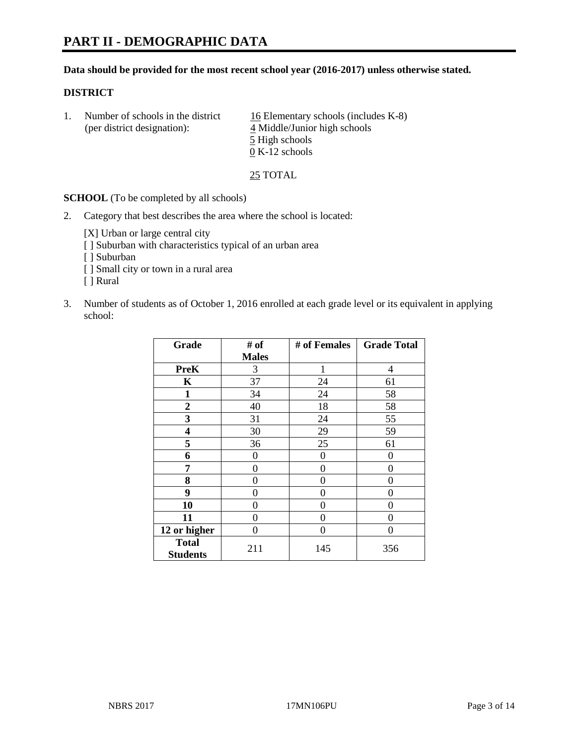#### **Data should be provided for the most recent school year (2016-2017) unless otherwise stated.**

## **DISTRICT**

|  | Number of schools in the district<br>(per district designation): | 16 Elementary schools (includes K-8)<br>4 Middle/Junior high schools |
|--|------------------------------------------------------------------|----------------------------------------------------------------------|
|  |                                                                  | 5 High schools                                                       |
|  |                                                                  | $0 K-12$ schools                                                     |

25 TOTAL

**SCHOOL** (To be completed by all schools)

2. Category that best describes the area where the school is located:

[X] Urban or large central city [ ] Suburban with characteristics typical of an urban area [ ] Suburban

- [ ] Small city or town in a rural area
- [ ] Rural
- 3. Number of students as of October 1, 2016 enrolled at each grade level or its equivalent in applying school:

| Grade                           | # of         | # of Females | <b>Grade Total</b> |
|---------------------------------|--------------|--------------|--------------------|
|                                 | <b>Males</b> |              |                    |
| <b>PreK</b>                     | 3            | 1            | 4                  |
| $\mathbf K$                     | 37           | 24           | 61                 |
| 1                               | 34           | 24           | 58                 |
| $\boldsymbol{2}$                | 40           | 18           | 58                 |
| 3                               | 31           | 24           | 55                 |
| 4                               | 30           | 29           | 59                 |
| 5                               | 36           | 25           | 61                 |
| 6                               | 0            | 0            | $\theta$           |
| 7                               | 0            | 0            | 0                  |
| 8                               | 0            | 0            | 0                  |
| 9                               | 0            | 0            | 0                  |
| 10                              | 0            | 0            | 0                  |
| 11                              | 0            | 0            | $\mathbf{\Omega}$  |
| 12 or higher                    | 0            | 0            | 0                  |
| <b>Total</b><br><b>Students</b> | 211          | 145          | 356                |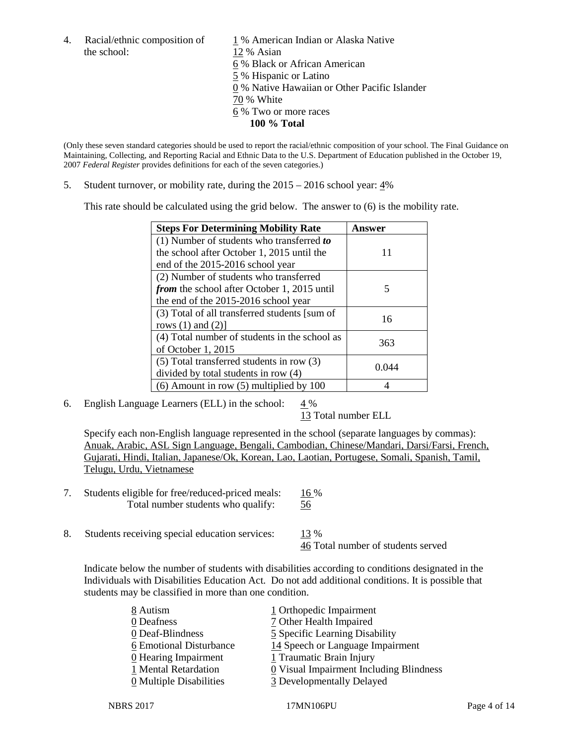the school: 12 % Asian

4. Racial/ethnic composition of  $1\%$  American Indian or Alaska Native 6 % Black or African American 5 % Hispanic or Latino 0 % Native Hawaiian or Other Pacific Islander 70 % White 6 % Two or more races **100 % Total**

(Only these seven standard categories should be used to report the racial/ethnic composition of your school. The Final Guidance on Maintaining, Collecting, and Reporting Racial and Ethnic Data to the U.S. Department of Education published in the October 19, 2007 *Federal Register* provides definitions for each of the seven categories.)

5. Student turnover, or mobility rate, during the 2015 – 2016 school year: 4%

This rate should be calculated using the grid below. The answer to (6) is the mobility rate.

| <b>Steps For Determining Mobility Rate</b>         | Answer |
|----------------------------------------------------|--------|
| (1) Number of students who transferred to          |        |
| the school after October 1, 2015 until the         | 11     |
| end of the 2015-2016 school year                   |        |
| (2) Number of students who transferred             |        |
| <i>from</i> the school after October 1, 2015 until | 5      |
| the end of the 2015-2016 school year               |        |
| (3) Total of all transferred students [sum of      | 16     |
| rows $(1)$ and $(2)$ ]                             |        |
| (4) Total number of students in the school as      | 363    |
| of October 1, 2015                                 |        |
| (5) Total transferred students in row (3)          |        |
| divided by total students in row (4)               | 0.044  |
| $(6)$ Amount in row $(5)$ multiplied by 100        |        |

6. English Language Learners (ELL) in the school:  $4\%$ 

13 Total number ELL

Specify each non-English language represented in the school (separate languages by commas): Anuak, Arabic, ASL Sign Language, Bengali, Cambodian, Chinese/Mandari, Darsi/Farsi, French, Gujarati, Hindi, Italian, Japanese/Ok, Korean, Lao, Laotian, Portugese, Somali, Spanish, Tamil, Telugu, Urdu, Vietnamese

- 7. Students eligible for free/reduced-priced meals: 16 % Total number students who qualify: 56
- 8. Students receiving special education services: 13 %

46 Total number of students served

Indicate below the number of students with disabilities according to conditions designated in the Individuals with Disabilities Education Act. Do not add additional conditions. It is possible that students may be classified in more than one condition.

| 8 Autism                | 1 Orthopedic Impairment                               |
|-------------------------|-------------------------------------------------------|
| 0 Deafness              | 7 Other Health Impaired                               |
| 0 Deaf-Blindness        | 5 Specific Learning Disability                        |
| 6 Emotional Disturbance | 14 Speech or Language Impairment                      |
| $0$ Hearing Impairment  | 1 Traumatic Brain Injury                              |
| 1 Mental Retardation    | $\underline{0}$ Visual Impairment Including Blindness |
| 0 Multiple Disabilities | 3 Developmentally Delayed                             |
|                         |                                                       |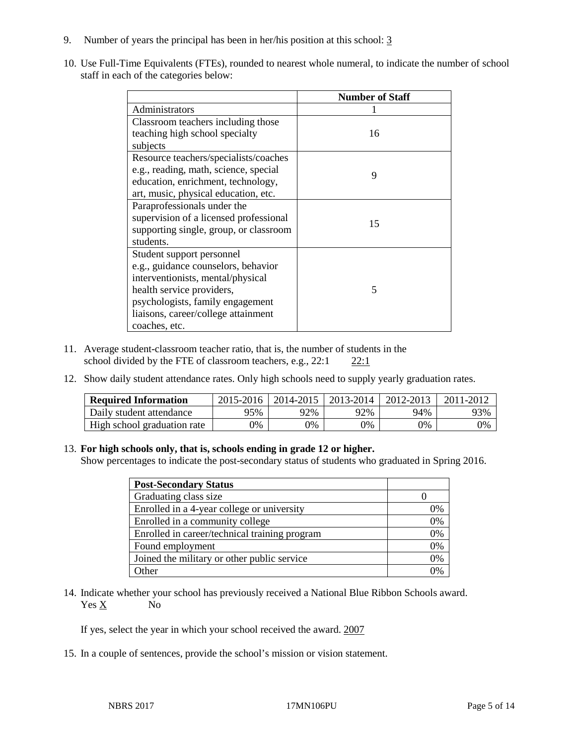- 9. Number of years the principal has been in her/his position at this school: 3
- 10. Use Full-Time Equivalents (FTEs), rounded to nearest whole numeral, to indicate the number of school staff in each of the categories below:

|                                        | <b>Number of Staff</b> |
|----------------------------------------|------------------------|
| Administrators                         |                        |
| Classroom teachers including those     |                        |
| teaching high school specialty         | 16                     |
| subjects                               |                        |
| Resource teachers/specialists/coaches  |                        |
| e.g., reading, math, science, special  | 9                      |
| education, enrichment, technology,     |                        |
| art, music, physical education, etc.   |                        |
| Paraprofessionals under the            |                        |
| supervision of a licensed professional | 15                     |
| supporting single, group, or classroom |                        |
| students.                              |                        |
| Student support personnel              |                        |
| e.g., guidance counselors, behavior    |                        |
| interventionists, mental/physical      |                        |
| health service providers,              | 5                      |
| psychologists, family engagement       |                        |
| liaisons, career/college attainment    |                        |
| coaches, etc.                          |                        |

- 11. Average student-classroom teacher ratio, that is, the number of students in the school divided by the FTE of classroom teachers, e.g., 22:1 22:1
- 12. Show daily student attendance rates. Only high schools need to supply yearly graduation rates.

| <b>Required Information</b> | 2015-2016 | 2014-2015 | 2013-2014 | 2012-2013 | 2011-2012 |
|-----------------------------|-----------|-----------|-----------|-----------|-----------|
| Daily student attendance    | 95%       | 92%       | 92%       | 94%       | 93%       |
| High school graduation rate | 0%        | 0%        | 0%        | 9%        | 0%        |

#### 13. **For high schools only, that is, schools ending in grade 12 or higher.**

Show percentages to indicate the post-secondary status of students who graduated in Spring 2016.

| <b>Post-Secondary Status</b>                  |    |
|-----------------------------------------------|----|
| Graduating class size                         |    |
| Enrolled in a 4-year college or university    | 0% |
| Enrolled in a community college               | 0% |
| Enrolled in career/technical training program | 0% |
| Found employment                              | 0% |
| Joined the military or other public service   | 0% |
| $\Delta$ ther                                 |    |

14. Indicate whether your school has previously received a National Blue Ribbon Schools award. Yes X No

If yes, select the year in which your school received the award. 2007

15. In a couple of sentences, provide the school's mission or vision statement.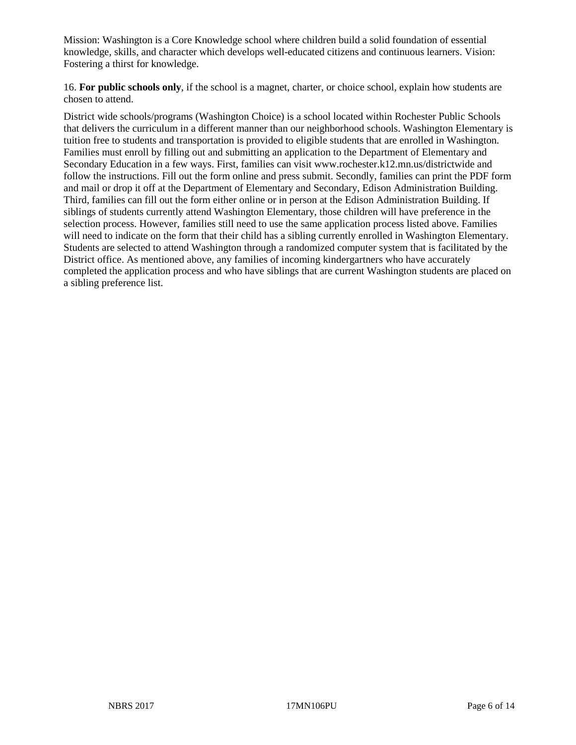Mission: Washington is a Core Knowledge school where children build a solid foundation of essential knowledge, skills, and character which develops well-educated citizens and continuous learners. Vision: Fostering a thirst for knowledge.

16. **For public schools only**, if the school is a magnet, charter, or choice school, explain how students are chosen to attend.

District wide schools/programs (Washington Choice) is a school located within Rochester Public Schools that delivers the curriculum in a different manner than our neighborhood schools. Washington Elementary is tuition free to students and transportation is provided to eligible students that are enrolled in Washington. Families must enroll by filling out and submitting an application to the Department of Elementary and Secondary Education in a few ways. First, families can visit www.rochester.k12.mn.us/districtwide and follow the instructions. Fill out the form online and press submit. Secondly, families can print the PDF form and mail or drop it off at the Department of Elementary and Secondary, Edison Administration Building. Third, families can fill out the form either online or in person at the Edison Administration Building. If siblings of students currently attend Washington Elementary, those children will have preference in the selection process. However, families still need to use the same application process listed above. Families will need to indicate on the form that their child has a sibling currently enrolled in Washington Elementary. Students are selected to attend Washington through a randomized computer system that is facilitated by the District office. As mentioned above, any families of incoming kindergartners who have accurately completed the application process and who have siblings that are current Washington students are placed on a sibling preference list.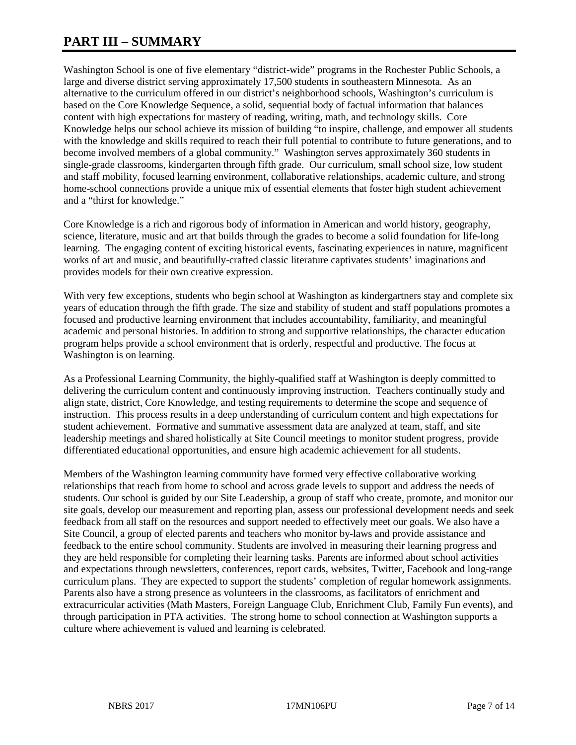# **PART III – SUMMARY**

Washington School is one of five elementary "district-wide" programs in the Rochester Public Schools, a large and diverse district serving approximately 17,500 students in southeastern Minnesota. As an alternative to the curriculum offered in our district's neighborhood schools, Washington's curriculum is based on the Core Knowledge Sequence, a solid, sequential body of factual information that balances content with high expectations for mastery of reading, writing, math, and technology skills. Core Knowledge helps our school achieve its mission of building "to inspire, challenge, and empower all students with the knowledge and skills required to reach their full potential to contribute to future generations, and to become involved members of a global community." Washington serves approximately 360 students in single-grade classrooms, kindergarten through fifth grade. Our curriculum, small school size, low student and staff mobility, focused learning environment, collaborative relationships, academic culture, and strong home-school connections provide a unique mix of essential elements that foster high student achievement and a "thirst for knowledge."

Core Knowledge is a rich and rigorous body of information in American and world history, geography, science, literature, music and art that builds through the grades to become a solid foundation for life-long learning. The engaging content of exciting historical events, fascinating experiences in nature, magnificent works of art and music, and beautifully-crafted classic literature captivates students' imaginations and provides models for their own creative expression.

With very few exceptions, students who begin school at Washington as kindergartners stay and complete six years of education through the fifth grade. The size and stability of student and staff populations promotes a focused and productive learning environment that includes accountability, familiarity, and meaningful academic and personal histories. In addition to strong and supportive relationships, the character education program helps provide a school environment that is orderly, respectful and productive. The focus at Washington is on learning.

As a Professional Learning Community, the highly-qualified staff at Washington is deeply committed to delivering the curriculum content and continuously improving instruction. Teachers continually study and align state, district, Core Knowledge, and testing requirements to determine the scope and sequence of instruction. This process results in a deep understanding of curriculum content and high expectations for student achievement. Formative and summative assessment data are analyzed at team, staff, and site leadership meetings and shared holistically at Site Council meetings to monitor student progress, provide differentiated educational opportunities, and ensure high academic achievement for all students.

Members of the Washington learning community have formed very effective collaborative working relationships that reach from home to school and across grade levels to support and address the needs of students. Our school is guided by our Site Leadership, a group of staff who create, promote, and monitor our site goals, develop our measurement and reporting plan, assess our professional development needs and seek feedback from all staff on the resources and support needed to effectively meet our goals. We also have a Site Council, a group of elected parents and teachers who monitor by-laws and provide assistance and feedback to the entire school community. Students are involved in measuring their learning progress and they are held responsible for completing their learning tasks. Parents are informed about school activities and expectations through newsletters, conferences, report cards, websites, Twitter, Facebook and long-range curriculum plans. They are expected to support the students' completion of regular homework assignments. Parents also have a strong presence as volunteers in the classrooms, as facilitators of enrichment and extracurricular activities (Math Masters, Foreign Language Club, Enrichment Club, Family Fun events), and through participation in PTA activities. The strong home to school connection at Washington supports a culture where achievement is valued and learning is celebrated.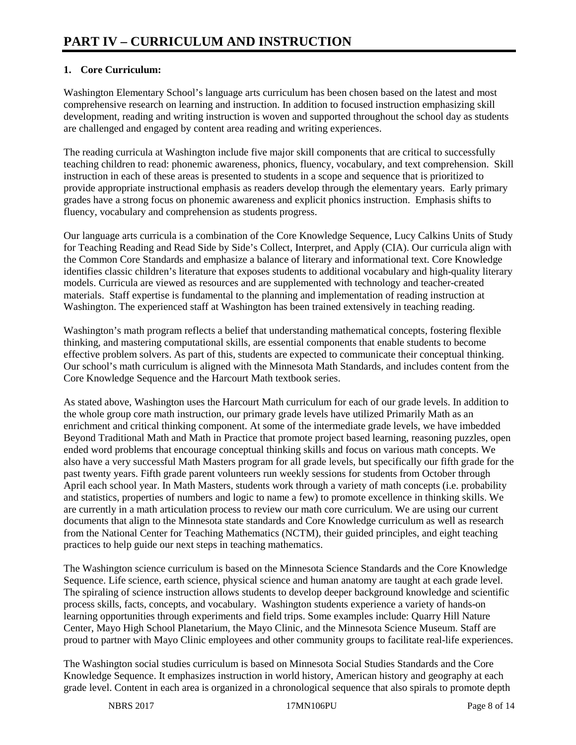# **1. Core Curriculum:**

Washington Elementary School's language arts curriculum has been chosen based on the latest and most comprehensive research on learning and instruction. In addition to focused instruction emphasizing skill development, reading and writing instruction is woven and supported throughout the school day as students are challenged and engaged by content area reading and writing experiences.

The reading curricula at Washington include five major skill components that are critical to successfully teaching children to read: phonemic awareness, phonics, fluency, vocabulary, and text comprehension. Skill instruction in each of these areas is presented to students in a scope and sequence that is prioritized to provide appropriate instructional emphasis as readers develop through the elementary years. Early primary grades have a strong focus on phonemic awareness and explicit phonics instruction. Emphasis shifts to fluency, vocabulary and comprehension as students progress.

Our language arts curricula is a combination of the Core Knowledge Sequence, Lucy Calkins Units of Study for Teaching Reading and Read Side by Side's Collect, Interpret, and Apply (CIA). Our curricula align with the Common Core Standards and emphasize a balance of literary and informational text. Core Knowledge identifies classic children's literature that exposes students to additional vocabulary and high-quality literary models. Curricula are viewed as resources and are supplemented with technology and teacher-created materials. Staff expertise is fundamental to the planning and implementation of reading instruction at Washington. The experienced staff at Washington has been trained extensively in teaching reading.

Washington's math program reflects a belief that understanding mathematical concepts, fostering flexible thinking, and mastering computational skills, are essential components that enable students to become effective problem solvers. As part of this, students are expected to communicate their conceptual thinking. Our school's math curriculum is aligned with the Minnesota Math Standards, and includes content from the Core Knowledge Sequence and the Harcourt Math textbook series.

As stated above, Washington uses the Harcourt Math curriculum for each of our grade levels. In addition to the whole group core math instruction, our primary grade levels have utilized Primarily Math as an enrichment and critical thinking component. At some of the intermediate grade levels, we have imbedded Beyond Traditional Math and Math in Practice that promote project based learning, reasoning puzzles, open ended word problems that encourage conceptual thinking skills and focus on various math concepts. We also have a very successful Math Masters program for all grade levels, but specifically our fifth grade for the past twenty years. Fifth grade parent volunteers run weekly sessions for students from October through April each school year. In Math Masters, students work through a variety of math concepts (i.e. probability and statistics, properties of numbers and logic to name a few) to promote excellence in thinking skills. We are currently in a math articulation process to review our math core curriculum. We are using our current documents that align to the Minnesota state standards and Core Knowledge curriculum as well as research from the National Center for Teaching Mathematics (NCTM), their guided principles, and eight teaching practices to help guide our next steps in teaching mathematics.

The Washington science curriculum is based on the Minnesota Science Standards and the Core Knowledge Sequence. Life science, earth science, physical science and human anatomy are taught at each grade level. The spiraling of science instruction allows students to develop deeper background knowledge and scientific process skills, facts, concepts, and vocabulary. Washington students experience a variety of hands-on learning opportunities through experiments and field trips. Some examples include: Quarry Hill Nature Center, Mayo High School Planetarium, the Mayo Clinic, and the Minnesota Science Museum. Staff are proud to partner with Mayo Clinic employees and other community groups to facilitate real-life experiences.

The Washington social studies curriculum is based on Minnesota Social Studies Standards and the Core Knowledge Sequence. It emphasizes instruction in world history, American history and geography at each grade level. Content in each area is organized in a chronological sequence that also spirals to promote depth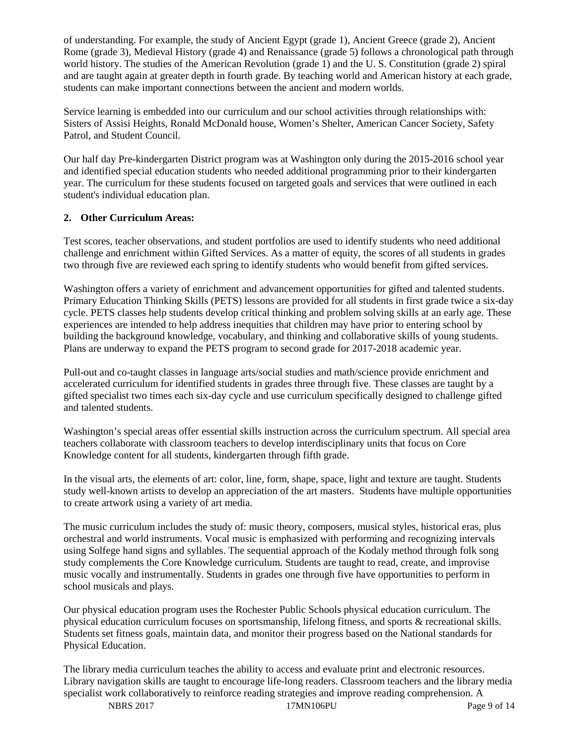of understanding. For example, the study of Ancient Egypt (grade 1), Ancient Greece (grade 2), Ancient Rome (grade 3), Medieval History (grade 4) and Renaissance (grade 5) follows a chronological path through world history. The studies of the American Revolution (grade 1) and the U. S. Constitution (grade 2) spiral and are taught again at greater depth in fourth grade. By teaching world and American history at each grade, students can make important connections between the ancient and modern worlds.

Service learning is embedded into our curriculum and our school activities through relationships with: Sisters of Assisi Heights, Ronald McDonald house, Women's Shelter, American Cancer Society, Safety Patrol, and Student Council.

Our half day Pre-kindergarten District program was at Washington only during the 2015-2016 school year and identified special education students who needed additional programming prior to their kindergarten year. The curriculum for these students focused on targeted goals and services that were outlined in each student's individual education plan.

# **2. Other Curriculum Areas:**

Test scores, teacher observations, and student portfolios are used to identify students who need additional challenge and enrichment within Gifted Services. As a matter of equity, the scores of all students in grades two through five are reviewed each spring to identify students who would benefit from gifted services.

Washington offers a variety of enrichment and advancement opportunities for gifted and talented students. Primary Education Thinking Skills (PETS) lessons are provided for all students in first grade twice a six-day cycle. PETS classes help students develop critical thinking and problem solving skills at an early age. These experiences are intended to help address inequities that children may have prior to entering school by building the background knowledge, vocabulary, and thinking and collaborative skills of young students. Plans are underway to expand the PETS program to second grade for 2017-2018 academic year.

Pull-out and co-taught classes in language arts/social studies and math/science provide enrichment and accelerated curriculum for identified students in grades three through five. These classes are taught by a gifted specialist two times each six-day cycle and use curriculum specifically designed to challenge gifted and talented students.

Washington's special areas offer essential skills instruction across the curriculum spectrum. All special area teachers collaborate with classroom teachers to develop interdisciplinary units that focus on Core Knowledge content for all students, kindergarten through fifth grade.

In the visual arts, the elements of art: color, line, form, shape, space, light and texture are taught. Students study well-known artists to develop an appreciation of the art masters. Students have multiple opportunities to create artwork using a variety of art media.

The music curriculum includes the study of: music theory, composers, musical styles, historical eras, plus orchestral and world instruments. Vocal music is emphasized with performing and recognizing intervals using Solfege hand signs and syllables. The sequential approach of the Kodaly method through folk song study complements the Core Knowledge curriculum. Students are taught to read, create, and improvise music vocally and instrumentally. Students in grades one through five have opportunities to perform in school musicals and plays.

Our physical education program uses the Rochester Public Schools physical education curriculum. The physical education curriculum focuses on sportsmanship, lifelong fitness, and sports & recreational skills. Students set fitness goals, maintain data, and monitor their progress based on the National standards for Physical Education.

The library media curriculum teaches the ability to access and evaluate print and electronic resources. Library navigation skills are taught to encourage life-long readers. Classroom teachers and the library media specialist work collaboratively to reinforce reading strategies and improve reading comprehension. A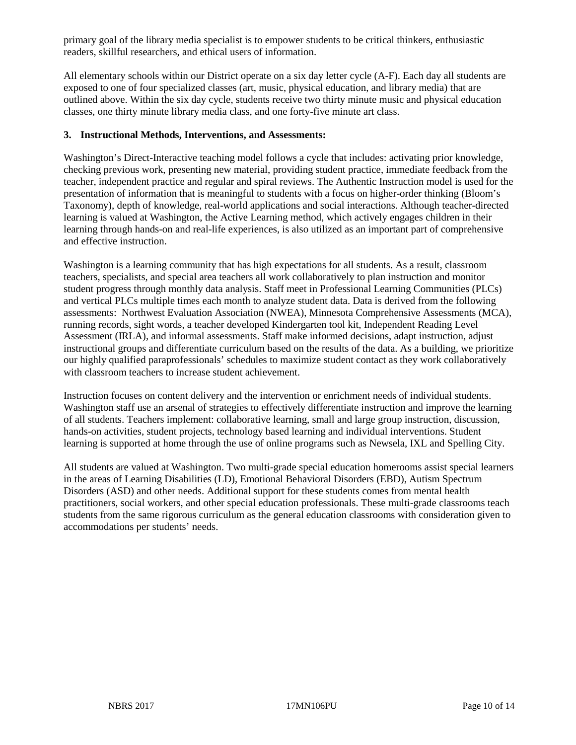primary goal of the library media specialist is to empower students to be critical thinkers, enthusiastic readers, skillful researchers, and ethical users of information.

All elementary schools within our District operate on a six day letter cycle (A-F). Each day all students are exposed to one of four specialized classes (art, music, physical education, and library media) that are outlined above. Within the six day cycle, students receive two thirty minute music and physical education classes, one thirty minute library media class, and one forty-five minute art class.

#### **3. Instructional Methods, Interventions, and Assessments:**

Washington's Direct-Interactive teaching model follows a cycle that includes: activating prior knowledge, checking previous work, presenting new material, providing student practice, immediate feedback from the teacher, independent practice and regular and spiral reviews. The Authentic Instruction model is used for the presentation of information that is meaningful to students with a focus on higher-order thinking (Bloom's Taxonomy), depth of knowledge, real-world applications and social interactions. Although teacher-directed learning is valued at Washington, the Active Learning method, which actively engages children in their learning through hands-on and real-life experiences, is also utilized as an important part of comprehensive and effective instruction.

Washington is a learning community that has high expectations for all students. As a result, classroom teachers, specialists, and special area teachers all work collaboratively to plan instruction and monitor student progress through monthly data analysis. Staff meet in Professional Learning Communities (PLCs) and vertical PLCs multiple times each month to analyze student data. Data is derived from the following assessments: Northwest Evaluation Association (NWEA), Minnesota Comprehensive Assessments (MCA), running records, sight words, a teacher developed Kindergarten tool kit, Independent Reading Level Assessment (IRLA), and informal assessments. Staff make informed decisions, adapt instruction, adjust instructional groups and differentiate curriculum based on the results of the data. As a building, we prioritize our highly qualified paraprofessionals' schedules to maximize student contact as they work collaboratively with classroom teachers to increase student achievement.

Instruction focuses on content delivery and the intervention or enrichment needs of individual students. Washington staff use an arsenal of strategies to effectively differentiate instruction and improve the learning of all students. Teachers implement: collaborative learning, small and large group instruction, discussion, hands-on activities, student projects, technology based learning and individual interventions. Student learning is supported at home through the use of online programs such as Newsela, IXL and Spelling City.

All students are valued at Washington. Two multi-grade special education homerooms assist special learners in the areas of Learning Disabilities (LD), Emotional Behavioral Disorders (EBD), Autism Spectrum Disorders (ASD) and other needs. Additional support for these students comes from mental health practitioners, social workers, and other special education professionals. These multi-grade classrooms teach students from the same rigorous curriculum as the general education classrooms with consideration given to accommodations per students' needs.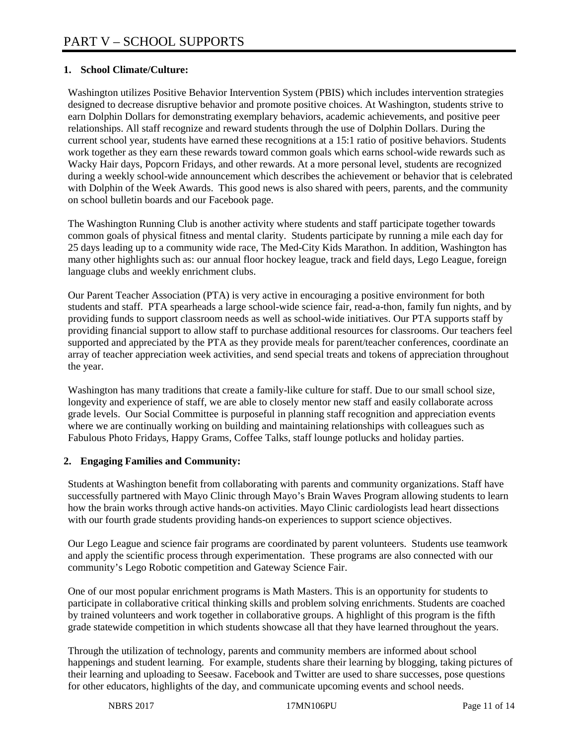# **1. School Climate/Culture:**

Washington utilizes Positive Behavior Intervention System (PBIS) which includes intervention strategies designed to decrease disruptive behavior and promote positive choices. At Washington, students strive to earn Dolphin Dollars for demonstrating exemplary behaviors, academic achievements, and positive peer relationships. All staff recognize and reward students through the use of Dolphin Dollars. During the current school year, students have earned these recognitions at a 15:1 ratio of positive behaviors. Students work together as they earn these rewards toward common goals which earns school-wide rewards such as Wacky Hair days, Popcorn Fridays, and other rewards. At a more personal level, students are recognized during a weekly school-wide announcement which describes the achievement or behavior that is celebrated with Dolphin of the Week Awards. This good news is also shared with peers, parents, and the community on school bulletin boards and our Facebook page.

The Washington Running Club is another activity where students and staff participate together towards common goals of physical fitness and mental clarity. Students participate by running a mile each day for 25 days leading up to a community wide race, The Med-City Kids Marathon. In addition, Washington has many other highlights such as: our annual floor hockey league, track and field days, Lego League, foreign language clubs and weekly enrichment clubs.

Our Parent Teacher Association (PTA) is very active in encouraging a positive environment for both students and staff. PTA spearheads a large school-wide science fair, read-a-thon, family fun nights, and by providing funds to support classroom needs as well as school-wide initiatives. Our PTA supports staff by providing financial support to allow staff to purchase additional resources for classrooms. Our teachers feel supported and appreciated by the PTA as they provide meals for parent/teacher conferences, coordinate an array of teacher appreciation week activities, and send special treats and tokens of appreciation throughout the year.

Washington has many traditions that create a family-like culture for staff. Due to our small school size, longevity and experience of staff, we are able to closely mentor new staff and easily collaborate across grade levels. Our Social Committee is purposeful in planning staff recognition and appreciation events where we are continually working on building and maintaining relationships with colleagues such as Fabulous Photo Fridays, Happy Grams, Coffee Talks, staff lounge potlucks and holiday parties.

# **2. Engaging Families and Community:**

Students at Washington benefit from collaborating with parents and community organizations. Staff have successfully partnered with Mayo Clinic through Mayo's Brain Waves Program allowing students to learn how the brain works through active hands-on activities. Mayo Clinic cardiologists lead heart dissections with our fourth grade students providing hands-on experiences to support science objectives.

Our Lego League and science fair programs are coordinated by parent volunteers. Students use teamwork and apply the scientific process through experimentation. These programs are also connected with our community's Lego Robotic competition and Gateway Science Fair.

One of our most popular enrichment programs is Math Masters. This is an opportunity for students to participate in collaborative critical thinking skills and problem solving enrichments. Students are coached by trained volunteers and work together in collaborative groups. A highlight of this program is the fifth grade statewide competition in which students showcase all that they have learned throughout the years.

Through the utilization of technology, parents and community members are informed about school happenings and student learning. For example, students share their learning by blogging, taking pictures of their learning and uploading to Seesaw. Facebook and Twitter are used to share successes, pose questions for other educators, highlights of the day, and communicate upcoming events and school needs.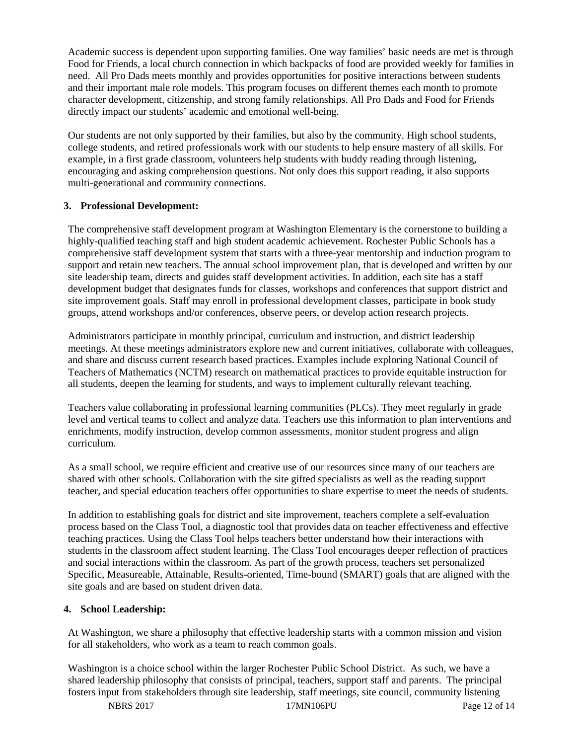Academic success is dependent upon supporting families. One way families' basic needs are met is through Food for Friends, a local church connection in which backpacks of food are provided weekly for families in need. All Pro Dads meets monthly and provides opportunities for positive interactions between students and their important male role models. This program focuses on different themes each month to promote character development, citizenship, and strong family relationships. All Pro Dads and Food for Friends directly impact our students' academic and emotional well-being.

Our students are not only supported by their families, but also by the community. High school students, college students, and retired professionals work with our students to help ensure mastery of all skills. For example, in a first grade classroom, volunteers help students with buddy reading through listening, encouraging and asking comprehension questions. Not only does this support reading, it also supports multi-generational and community connections.

## **3. Professional Development:**

The comprehensive staff development program at Washington Elementary is the cornerstone to building a highly-qualified teaching staff and high student academic achievement. Rochester Public Schools has a comprehensive staff development system that starts with a three-year mentorship and induction program to support and retain new teachers. The annual school improvement plan, that is developed and written by our site leadership team, directs and guides staff development activities. In addition, each site has a staff development budget that designates funds for classes, workshops and conferences that support district and site improvement goals. Staff may enroll in professional development classes, participate in book study groups, attend workshops and/or conferences, observe peers, or develop action research projects.

Administrators participate in monthly principal, curriculum and instruction, and district leadership meetings. At these meetings administrators explore new and current initiatives, collaborate with colleagues, and share and discuss current research based practices. Examples include exploring National Council of Teachers of Mathematics (NCTM) research on mathematical practices to provide equitable instruction for all students, deepen the learning for students, and ways to implement culturally relevant teaching.

Teachers value collaborating in professional learning communities (PLCs). They meet regularly in grade level and vertical teams to collect and analyze data. Teachers use this information to plan interventions and enrichments, modify instruction, develop common assessments, monitor student progress and align curriculum.

As a small school, we require efficient and creative use of our resources since many of our teachers are shared with other schools. Collaboration with the site gifted specialists as well as the reading support teacher, and special education teachers offer opportunities to share expertise to meet the needs of students.

In addition to establishing goals for district and site improvement, teachers complete a self-evaluation process based on the Class Tool, a diagnostic tool that provides data on teacher effectiveness and effective teaching practices. Using the Class Tool helps teachers better understand how their interactions with students in the classroom affect student learning. The Class Tool encourages deeper reflection of practices and social interactions within the classroom. As part of the growth process, teachers set personalized Specific, Measureable, Attainable, Results-oriented, Time-bound (SMART) goals that are aligned with the site goals and are based on student driven data.

# **4. School Leadership:**

At Washington, we share a philosophy that effective leadership starts with a common mission and vision for all stakeholders, who work as a team to reach common goals.

Washington is a choice school within the larger Rochester Public School District. As such, we have a shared leadership philosophy that consists of principal, teachers, support staff and parents. The principal fosters input from stakeholders through site leadership, staff meetings, site council, community listening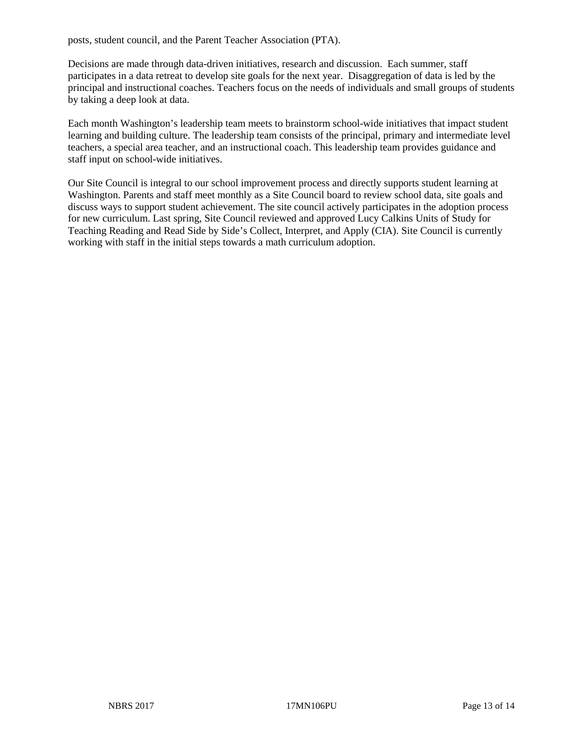posts, student council, and the Parent Teacher Association (PTA).

Decisions are made through data-driven initiatives, research and discussion. Each summer, staff participates in a data retreat to develop site goals for the next year. Disaggregation of data is led by the principal and instructional coaches. Teachers focus on the needs of individuals and small groups of students by taking a deep look at data.

Each month Washington's leadership team meets to brainstorm school-wide initiatives that impact student learning and building culture. The leadership team consists of the principal, primary and intermediate level teachers, a special area teacher, and an instructional coach. This leadership team provides guidance and staff input on school-wide initiatives.

Our Site Council is integral to our school improvement process and directly supports student learning at Washington. Parents and staff meet monthly as a Site Council board to review school data, site goals and discuss ways to support student achievement. The site council actively participates in the adoption process for new curriculum. Last spring, Site Council reviewed and approved Lucy Calkins Units of Study for Teaching Reading and Read Side by Side's Collect, Interpret, and Apply (CIA). Site Council is currently working with staff in the initial steps towards a math curriculum adoption.